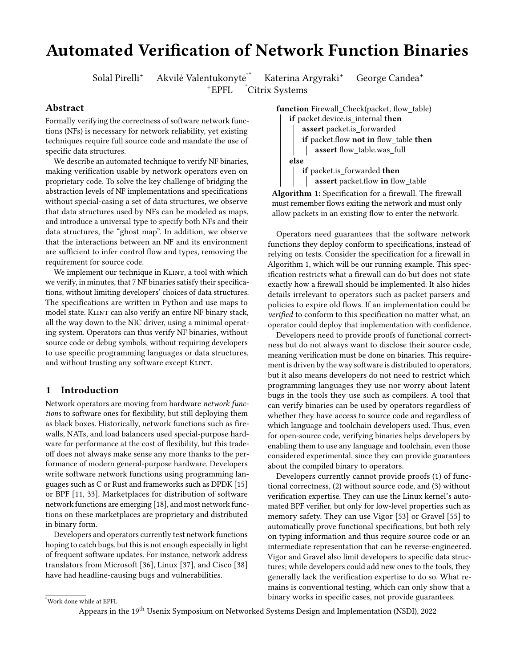# Automated Verification of Network Function Binaries

Solal Pirelli<sup>+</sup> Akvilė Valentukonytė<sup>"</sup>

Katerina Argyraki<sup>+</sup> George Candea<sup>+</sup> <sup>+</sup>EPFL °Citrix Systems

Abstract

Formally verifying the correctness of software network functions (NFs) is necessary for network reliability, yet existing techniques require full source code and mandate the use of specific data structures.

We describe an automated technique to verify NF binaries, making verification usable by network operators even on proprietary code. To solve the key challenge of bridging the abstraction levels of NF implementations and specifications without special-casing a set of data structures, we observe that data structures used by NFs can be modeled as maps, and introduce a universal type to specify both NFs and their data structures, the "ghost map". In addition, we observe that the interactions between an NF and its environment are sufficient to infer control flow and types, removing the requirement for source code.

We implement our technique in KLINT, a tool with which we verify, in minutes, that 7 NF binaries satisfy their specifications, without limiting developers' choices of data structures. The specifications are written in Python and use maps to model state. KLINT can also verify an entire NF binary stack, all the way down to the NIC driver, using a minimal operating system. Operators can thus verify NF binaries, without source code or debug symbols, without requiring developers to use specific programming languages or data structures, and without trusting any software except KLINT.

### 1 Introduction

Network operators are moving from hardware network functions to software ones for flexibility, but still deploying them as black boxes. Historically, network functions such as firewalls, NATs, and load balancers used special-purpose hardware for performance at the cost of flexibility, but this tradeoff does not always make sense any more thanks to the performance of modern general-purpose hardware. Developers write software network functions using programming languages such as C or Rust and frameworks such as DPDK [\[15\]](#page-13-0) or BPF [\[11,](#page-13-1) [33\]](#page-13-2). Marketplaces for distribution of software network functions are emerging [\[18\]](#page-13-3), and most network functions on these marketplaces are proprietary and distributed in binary form.

Developers and operators currently test network functions hoping to catch bugs, but this is not enough especially in light of frequent software updates. For instance, network address translators from Microsoft [\[36\]](#page-13-4), Linux [\[37\]](#page-13-5), and Cisco [\[38\]](#page-13-6) have had headline-causing bugs and vulnerabilities.

<span id="page-0-0"></span>

Algorithm 1: Specification for a firewall. The firewall must remember flows exiting the network and must only allow packets in an existing flow to enter the network.

Operators need guarantees that the software network functions they deploy conform to specifications, instead of relying on tests. Consider the specification for a firewall in Algorithm [1,](#page-0-0) which will be our running example. This specification restricts what a firewall can do but does not state exactly how a firewall should be implemented. It also hides details irrelevant to operators such as packet parsers and policies to expire old flows. If an implementation could be verified to conform to this specification no matter what, an operator could deploy that implementation with confidence.

Developers need to provide proofs of functional correctness but do not always want to disclose their source code, meaning verification must be done on binaries. This requirement is driven by the way software is distributed to operators, but it also means developers do not need to restrict which programming languages they use nor worry about latent bugs in the tools they use such as compilers. A tool that can verify binaries can be used by operators regardless of whether they have access to source code and regardless of which language and toolchain developers used. Thus, even for open-source code, verifying binaries helps developers by enabling them to use any language and toolchain, even those considered experimental, since they can provide guarantees about the compiled binary to operators.

Developers currently cannot provide proofs (1) of functional correctness, (2) without source code, and (3) without verification expertise. They can use the Linux kernel's automated BPF verifier, but only for low-level properties such as memory safety. They can use Vigor [\[53\]](#page-14-0) or Gravel [\[55\]](#page-14-1) to automatically prove functional specifications, but both rely on typing information and thus require source code or an intermediate representation that can be reverse-engineered. Vigor and Gravel also limit developers to specific data structures; while developers could add new ones to the tools, they generally lack the verification expertise to do so. What remains is conventional testing, which can only show that a binary works in specific cases, not provide guarantees.

<sup>\*</sup>Work done while at EPFL

Appears in the 19th Usenix Symposium on Networked Systems Design and Implementation (NSDI), 2022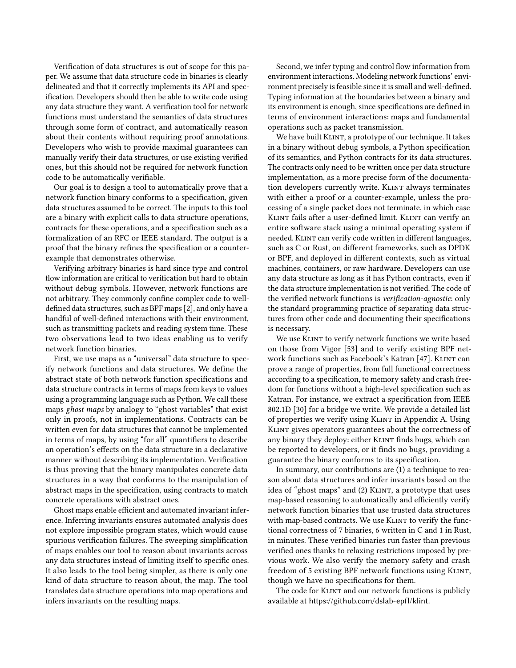Verification of data structures is out of scope for this paper. We assume that data structure code in binaries is clearly delineated and that it correctly implements its API and specification. Developers should then be able to write code using any data structure they want. A verification tool for network functions must understand the semantics of data structures through some form of contract, and automatically reason about their contents without requiring proof annotations. Developers who wish to provide maximal guarantees can manually verify their data structures, or use existing verified ones, but this should not be required for network function code to be automatically verifiable.

Our goal is to design a tool to automatically prove that a network function binary conforms to a specification, given data structures assumed to be correct. The inputs to this tool are a binary with explicit calls to data structure operations, contracts for these operations, and a specification such as a formalization of an RFC or IEEE standard. The output is a proof that the binary refines the specification or a counterexample that demonstrates otherwise.

Verifying arbitrary binaries is hard since type and control flow information are critical to verification but hard to obtain without debug symbols. However, network functions are not arbitrary. They commonly confine complex code to welldefined data structures, such as BPF maps [\[2\]](#page-13-7), and only have a handful of well-defined interactions with their environment, such as transmitting packets and reading system time. These two observations lead to two ideas enabling us to verify network function binaries.

First, we use maps as a "universal" data structure to specify network functions and data structures. We define the abstract state of both network function specifications and data structure contracts in terms of maps from keys to values using a programming language such as Python. We call these maps ghost maps by analogy to "ghost variables" that exist only in proofs, not in implementations. Contracts can be written even for data structures that cannot be implemented in terms of maps, by using "for all" quantifiers to describe an operation's effects on the data structure in a declarative manner without describing its implementation. Verification is thus proving that the binary manipulates concrete data structures in a way that conforms to the manipulation of abstract maps in the specification, using contracts to match concrete operations with abstract ones.

Ghost maps enable efficient and automated invariant inference. Inferring invariants ensures automated analysis does not explore impossible program states, which would cause spurious verification failures. The sweeping simplification of maps enables our tool to reason about invariants across any data structures instead of limiting itself to specific ones. It also leads to the tool being simpler, as there is only one kind of data structure to reason about, the map. The tool translates data structure operations into map operations and infers invariants on the resulting maps.

Second, we infer typing and control flow information from environment interactions. Modeling network functions' environment precisely is feasible since it is small and well-defined. Typing information at the boundaries between a binary and its environment is enough, since specifications are defined in terms of environment interactions: maps and fundamental operations such as packet transmission.

We have built KLINT, a prototype of our technique. It takes in a binary without debug symbols, a Python specification of its semantics, and Python contracts for its data structures. The contracts only need to be written once per data structure implementation, as a more precise form of the documentation developers currently write. KLINT always terminates with either a proof or a counter-example, unless the processing of a single packet does not terminate, in which case KLINT fails after a user-defined limit. KLINT can verify an entire software stack using a minimal operating system if needed. KLINT can verify code written in different languages, such as C or Rust, on different frameworks, such as DPDK or BPF, and deployed in different contexts, such as virtual machines, containers, or raw hardware. Developers can use any data structure as long as it has Python contracts, even if the data structure implementation is not verified. The code of the verified network functions is verification-agnostic: only the standard programming practice of separating data structures from other code and documenting their specifications is necessary.

We use KLINT to verify network functions we write based on those from Vigor [\[53\]](#page-14-0) and to verify existing BPF net-work functions such as Facebook's Katran [\[47\]](#page-14-2). KLINT can prove a range of properties, from full functional correctness according to a specification, to memory safety and crash freedom for functions without a high-level specification such as Katran. For instance, we extract a specification from IEEE 802.1D [\[30\]](#page-13-8) for a bridge we write. We provide a detailed list of properties we verify using KLINT in Appendix [A.](#page-14-3) Using Klint gives operators guarantees about the correctness of any binary they deploy: either KLINT finds bugs, which can be reported to developers, or it finds no bugs, providing a guarantee the binary conforms to its specification.

In summary, our contributions are (1) a technique to reason about data structures and infer invariants based on the idea of "ghost maps" and (2) KLINT, a prototype that uses map-based reasoning to automatically and efficiently verify network function binaries that use trusted data structures with map-based contracts. We use KLINT to verify the functional correctness of 7 binaries, 6 written in C and 1 in Rust, in minutes. These verified binaries run faster than previous verified ones thanks to relaxing restrictions imposed by previous work. We also verify the memory safety and crash freedom of 5 existing BPF network functions using KLINT, though we have no specifications for them.

The code for KLINT and our network functions is publicly available at <https://github.com/dslab-epfl/klint>.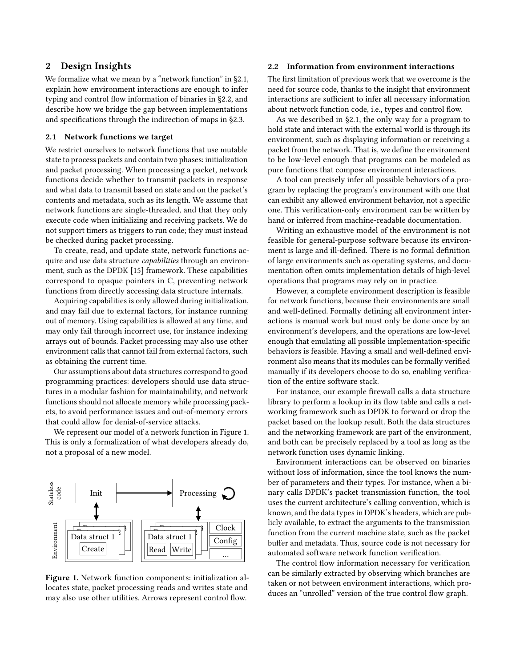### <span id="page-2-3"></span>2 Design Insights

We formalize what we mean by a "network function" in [§2.1,](#page-2-0) explain how environment interactions are enough to infer typing and control flow information of binaries in [§2.2,](#page-2-1) and describe how we bridge the gap between implementations and specifications through the indirection of maps in [§2.3.](#page-3-0)

#### <span id="page-2-0"></span>2.1 Network functions we target

We restrict ourselves to network functions that use mutable state to process packets and contain two phases: initialization and packet processing. When processing a packet, network functions decide whether to transmit packets in response and what data to transmit based on state and on the packet's contents and metadata, such as its length. We assume that network functions are single-threaded, and that they only execute code when initializing and receiving packets. We do not support timers as triggers to run code; they must instead be checked during packet processing.

To create, read, and update state, network functions acquire and use data structure *capabilities* through an environment, such as the DPDK [\[15\]](#page-13-0) framework. These capabilities correspond to opaque pointers in C, preventing network functions from directly accessing data structure internals.

Acquiring capabilities is only allowed during initialization, and may fail due to external factors, for instance running out of memory. Using capabilities is allowed at any time, and may only fail through incorrect use, for instance indexing arrays out of bounds. Packet processing may also use other environment calls that cannot fail from external factors, such as obtaining the current time.

Our assumptions about data structures correspond to good programming practices: developers should use data structures in a modular fashion for maintainability, and network functions should not allocate memory while processing packets, to avoid performance issues and out-of-memory errors that could allow for denial-of-service attacks.

We represent our model of a network function in Figure [1.](#page-2-2) This is only a formalization of what developers already do, not a proposal of a new model.

<span id="page-2-2"></span>

Figure 1. Network function components: initialization allocates state, packet processing reads and writes state and may also use other utilities. Arrows represent control flow.

#### <span id="page-2-1"></span>2.2 Information from environment interactions

The first limitation of previous work that we overcome is the need for source code, thanks to the insight that environment interactions are sufficient to infer all necessary information about network function code, i.e., types and control flow.

As we described in [§2.1,](#page-2-0) the only way for a program to hold state and interact with the external world is through its environment, such as displaying information or receiving a packet from the network. That is, we define the environment to be low-level enough that programs can be modeled as pure functions that compose environment interactions.

A tool can precisely infer all possible behaviors of a program by replacing the program's environment with one that can exhibit any allowed environment behavior, not a specific one. This verification-only environment can be written by hand or inferred from machine-readable documentation.

Writing an exhaustive model of the environment is not feasible for general-purpose software because its environment is large and ill-defined. There is no formal definition of large environments such as operating systems, and documentation often omits implementation details of high-level operations that programs may rely on in practice.

However, a complete environment description is feasible for network functions, because their environments are small and well-defined. Formally defining all environment interactions is manual work but must only be done once by an environment's developers, and the operations are low-level enough that emulating all possible implementation-specific behaviors is feasible. Having a small and well-defined environment also means that its modules can be formally verified manually if its developers choose to do so, enabling verification of the entire software stack.

For instance, our example firewall calls a data structure library to perform a lookup in its flow table and calls a networking framework such as DPDK to forward or drop the packet based on the lookup result. Both the data structures and the networking framework are part of the environment, and both can be precisely replaced by a tool as long as the network function uses dynamic linking.

Environment interactions can be observed on binaries without loss of information, since the tool knows the number of parameters and their types. For instance, when a binary calls DPDK's packet transmission function, the tool uses the current architecture's calling convention, which is known, and the data types in DPDK's headers, which are publicly available, to extract the arguments to the transmission function from the current machine state, such as the packet buffer and metadata. Thus, source code is not necessary for automated software network function verification.

The control flow information necessary for verification can be similarly extracted by observing which branches are taken or not between environment interactions, which produces an "unrolled" version of the true control flow graph.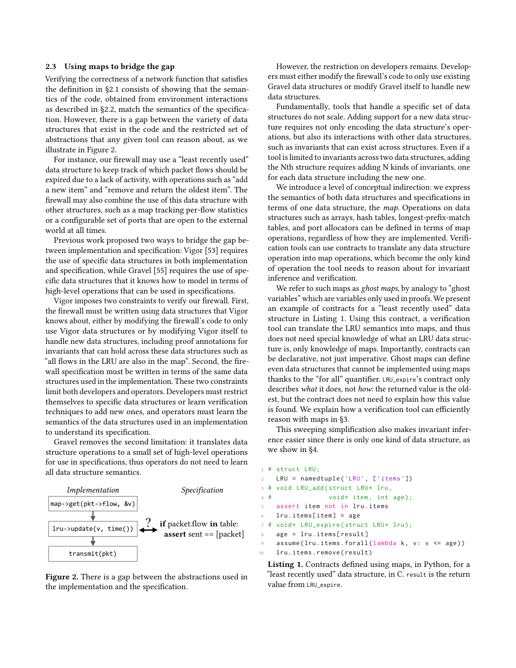#### <span id="page-3-0"></span>2.3 Using maps to bridge the gap

Verifying the correctness of a network function that satisfies the definition in [§2.1](#page-2-0) consists of showing that the semantics of the code, obtained from environment interactions as described in [§2.2,](#page-2-1) match the semantics of the specification. However, there is a gap between the variety of data structures that exist in the code and the restricted set of abstractions that any given tool can reason about, as we illustrate in Figure [2.](#page-3-1)

For instance, our firewall may use a "least recently used" data structure to keep track of which packet flows should be expired due to a lack of activity, with operations such as "add a new item" and "remove and return the oldest item". The firewall may also combine the use of this data structure with other structures, such as a map tracking per-flow statistics or a configurable set of ports that are open to the external world at all times.

Previous work proposed two ways to bridge the gap between implementation and specification: Vigor [\[53\]](#page-14-0) requires the use of specific data structures in both implementation and specification, while Gravel [\[55\]](#page-14-1) requires the use of specific data structures that it knows how to model in terms of high-level operations that can be used in specifications.

Vigor imposes two constraints to verify our firewall. First, the firewall must be written using data structures that Vigor knows about, either by modifying the firewall's code to only use Vigor data structures or by modifying Vigor itself to handle new data structures, including proof annotations for invariants that can hold across these data structures such as "all flows in the LRU are also in the map". Second, the firewall specification must be written in terms of the same data structures used in the implementation. These two constraints limit both developers and operators. Developers must restrict themselves to specific data structures or learn verification techniques to add new ones, and operators must learn the semantics of the data structures used in an implementation to understand its specification.

Gravel removes the second limitation: it translates data structure operations to a small set of high-level operations for use in specifications, thus operators do not need to learn all data structure semantics.

<span id="page-3-1"></span>

Figure 2. There is a gap between the abstractions used in the implementation and the specification.

However, the restriction on developers remains. Developers must either modify the firewall's code to only use existing Gravel data structures or modify Gravel itself to handle new data structures.

Fundamentally, tools that handle a specific set of data structures do not scale. Adding support for a new data structure requires not only encoding the data structure's operations, but also its interactions with other data structures, such as invariants that can exist across structures. Even if a tool is limited to invariants across two data structures, adding the Nth structure requires adding N kinds of invariants, one for each data structure including the new one.

We introduce a level of conceptual indirection: we express the semantics of both data structures and specifications in terms of one data structure, the map. Operations on data structures such as arrays, hash tables, longest-prefix-match tables, and port allocators can be defined in terms of map operations, regardless of how they are implemented. Verification tools can use contracts to translate any data structure operation into map operations, which become the only kind of operation the tool needs to reason about for invariant inference and verification.

We refer to such maps as ghost maps, by analogy to "ghost variables" which are variables only used in proofs. We present an example of contracts for a "least recently used" data structure in Listing [1.](#page-3-2) Using this contract, a verification tool can translate the LRU semantics into maps, and thus does not need special knowledge of what an LRU data structure is, only knowledge of maps. Importantly, contracts can be declarative, not just imperative. Ghost maps can define even data structures that cannot be implemented using maps thanks to the "for all" quantifier. LRU\_expire's contract only describes what it does, not how: the returned value is the oldest, but the contract does not need to explain how this value is found. We explain how a verification tool can efficiently reason with maps in [§3.](#page-4-0)

This sweeping simplification also makes invariant inference easier since there is only one kind of data structure, as we show in [§4.](#page-7-0)

```
1 # struct LRU;
    LRU = namedtuple ('LRU', ['items'])
3 # void LRU_add (struct LRU* lru,
4 \# void* item, int age);
5 assert item not in lru.items
6 lru . items [ item ] = age
7 # void* LRU_expire (struct LRU* lru);
8 age = lru.items[result]
    assume ( lru . items . forall ( lambda k, v : v <= age ) )
10 lru.items.remove(result)
```
Listing 1. Contracts defined using maps, in Python, for a "least recently used" data structure, in C. result is the return value from LRU\_expire.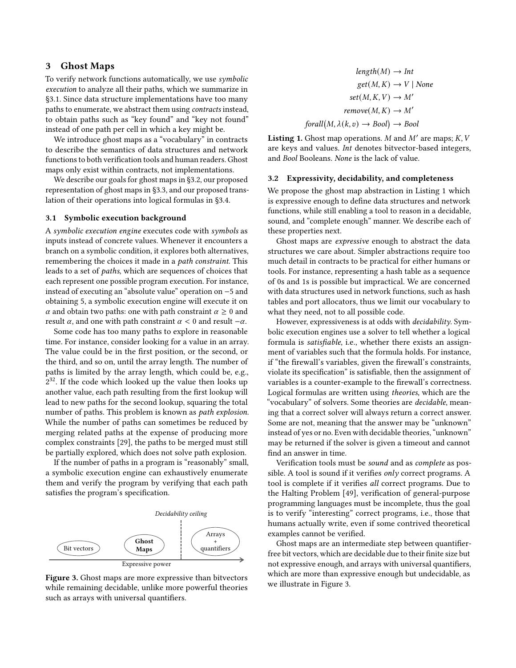### <span id="page-4-0"></span>3 Ghost Maps

To verify network functions automatically, we use symbolic execution to analyze all their paths, which we summarize in [§3.1.](#page-4-1) Since data structure implementations have too many paths to enumerate, we abstract them using contracts instead, to obtain paths such as "key found" and "key not found" instead of one path per cell in which a key might be.

We introduce ghost maps as a "vocabulary" in contracts to describe the semantics of data structures and network functions to both verification tools and human readers. Ghost maps only exist within contracts, not implementations.

We describe our goals for ghost maps in [§3.2,](#page-4-2) our proposed representation of ghost maps in [§3.3,](#page-5-0) and our proposed translation of their operations into logical formulas in [§3.4.](#page-5-1)

#### <span id="page-4-1"></span>3.1 Symbolic execution background

A symbolic execution engine executes code with symbols as inputs instead of concrete values. Whenever it encounters a branch on a symbolic condition, it explores both alternatives, remembering the choices it made in a path constraint. This leads to a set of paths, which are sequences of choices that each represent one possible program execution. For instance, instead of executing an "absolute value" operation on −5 and obtaining 5, a symbolic execution engine will execute it on  $\alpha$  and obtain two paths: one with path constraint  $\alpha \geq 0$  and result  $\alpha$ , and one with path constraint  $\alpha$  < 0 and result  $-\alpha$ .

Some code has too many paths to explore in reasonable time. For instance, consider looking for a value in an array. The value could be in the first position, or the second, or the third, and so on, until the array length. The number of paths is limited by the array length, which could be, e.g., 2 <sup>32</sup>. If the code which looked up the value then looks up another value, each path resulting from the first lookup will lead to new paths for the second lookup, squaring the total number of paths. This problem is known as path explosion. While the number of paths can sometimes be reduced by merging related paths at the expense of producing more complex constraints [\[29\]](#page-13-9), the paths to be merged must still be partially explored, which does not solve path explosion.

If the number of paths in a program is "reasonably" small, a symbolic execution engine can exhaustively enumerate them and verify the program by verifying that each path satisfies the program's specification.

<span id="page-4-4"></span>

Figure 3. Ghost maps are more expressive than bitvectors while remaining decidable, unlike more powerful theories such as arrays with universal quantifiers.

<span id="page-4-3"></span>
$$
length(M) \rightarrow Int
$$
  
\n
$$
get(M, K) \rightarrow V \mid None
$$
  
\n
$$
set(M, K, V) \rightarrow M'
$$
  
\n
$$
remove(M, K) \rightarrow M'
$$
  
\n
$$
for all(M, \lambda(k, v) \rightarrow Bool) \rightarrow Bool
$$

Listing 1. Ghost map operations. M and  $M'$  are maps;  $K$ ,  $V$ are keys and values. Int denotes bitvector-based integers, and Bool Booleans. None is the lack of value.

#### <span id="page-4-2"></span>3.2 Expressivity, decidability, and completeness

We propose the ghost map abstraction in Listing [1](#page-4-3) which is expressive enough to define data structures and network functions, while still enabling a tool to reason in a decidable, sound, and "complete enough" manner. We describe each of these properties next.

Ghost maps are expressive enough to abstract the data structures we care about. Simpler abstractions require too much detail in contracts to be practical for either humans or tools. For instance, representing a hash table as a sequence of 0s and 1s is possible but impractical. We are concerned with data structures used in network functions, such as hash tables and port allocators, thus we limit our vocabulary to what they need, not to all possible code.

However, expressiveness is at odds with decidability. Symbolic execution engines use a solver to tell whether a logical formula is satisfiable, i.e., whether there exists an assignment of variables such that the formula holds. For instance, if "the firewall's variables, given the firewall's constraints, violate its specification" is satisfiable, then the assignment of variables is a counter-example to the firewall's correctness. Logical formulas are written using theories, which are the "vocabulary" of solvers. Some theories are decidable, meaning that a correct solver will always return a correct answer. Some are not, meaning that the answer may be "unknown" instead of yes or no. Even with decidable theories, "unknown" may be returned if the solver is given a timeout and cannot find an answer in time.

Verification tools must be sound and as complete as possible. A tool is sound if it verifies only correct programs. A tool is complete if it verifies all correct programs. Due to the Halting Problem [\[49\]](#page-14-4), verification of general-purpose programming languages must be incomplete, thus the goal is to verify "interesting" correct programs, i.e., those that humans actually write, even if some contrived theoretical examples cannot be verified.

Ghost maps are an intermediate step between quantifierfree bit vectors, which are decidable due to their finite size but not expressive enough, and arrays with universal quantifiers, which are more than expressive enough but undecidable, as we illustrate in Figure [3.](#page-4-4)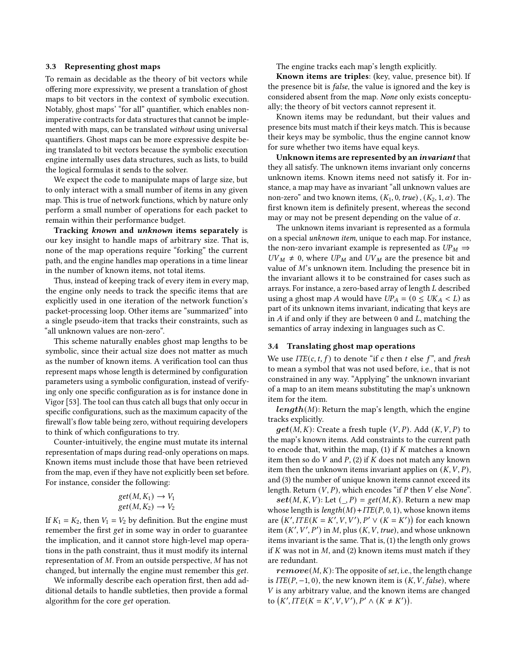#### <span id="page-5-0"></span>3.3 Representing ghost maps

To remain as decidable as the theory of bit vectors while offering more expressivity, we present a translation of ghost maps to bit vectors in the context of symbolic execution. Notably, ghost maps' "for all" quantifier, which enables nonimperative contracts for data structures that cannot be implemented with maps, can be translated without using universal quantifiers. Ghost maps can be more expressive despite being translated to bit vectors because the symbolic execution engine internally uses data structures, such as lists, to build the logical formulas it sends to the solver.

We expect the code to manipulate maps of large size, but to only interact with a small number of items in any given map. This is true of network functions, which by nature only perform a small number of operations for each packet to remain within their performance budget.

Tracking known and unknown items separately is our key insight to handle maps of arbitrary size. That is, none of the map operations require "forking" the current path, and the engine handles map operations in a time linear in the number of known items, not total items.

Thus, instead of keeping track of every item in every map, the engine only needs to track the specific items that are explicitly used in one iteration of the network function's packet-processing loop. Other items are "summarized" into a single pseudo-item that tracks their constraints, such as "all unknown values are non-zero".

This scheme naturally enables ghost map lengths to be symbolic, since their actual size does not matter as much as the number of known items. A verification tool can thus represent maps whose length is determined by configuration parameters using a symbolic configuration, instead of verifying only one specific configuration as is for instance done in Vigor [\[53\]](#page-14-0). The tool can thus catch all bugs that only occur in specific configurations, such as the maximum capacity of the firewall's flow table being zero, without requiring developers to think of which configurations to try.

Counter-intuitively, the engine must mutate its internal representation of maps during read-only operations on maps. Known items must include those that have been retrieved from the map, even if they have not explicitly been set before. For instance, consider the following:

$$
get(M, K_1) \to V_1
$$
  

$$
get(M, K_2) \to V_2
$$

If  $K_1 = K_2$ , then  $V_1 = V_2$  by definition. But the engine must remember the first get in some way in order to guarantee the implication, and it cannot store high-level map operations in the path constraint, thus it must modify its internal representation of  $M$ . From an outside perspective,  $M$  has not changed, but internally the engine must remember this get.

We informally describe each operation first, then add additional details to handle subtleties, then provide a formal algorithm for the core get operation.

The engine tracks each map's length explicitly.

Known items are triples: (key, value, presence bit). If the presence bit is false, the value is ignored and the key is considered absent from the map. None only exists conceptually; the theory of bit vectors cannot represent it.

Known items may be redundant, but their values and presence bits must match if their keys match. This is because their keys may be symbolic, thus the engine cannot know for sure whether two items have equal keys.

Unknown items are represented by an invariant that they all satisfy. The unknown items invariant only concerns unknown items. Known items need not satisfy it. For instance, a map may have as invariant "all unknown values are non-zero" and two known items,  $(K_1, 0, true)$ ,  $(K_2, 1, \alpha)$ . The first known item is definitely present, whereas the second may or may not be present depending on the value of  $\alpha$ .

The unknown items invariant is represented as a formula on a special unknown item, unique to each map. For instance, the non-zero invariant example is represented as  $UP_M \Rightarrow$  $UV_M \neq 0$ , where  $UP_M$  and  $UV_M$  are the presence bit and value of  $M$ 's unknown item. Including the presence bit in the invariant allows it to be constrained for cases such as arrays. For instance, a zero-based array of length  $L$  described using a ghost map A would have  $UP_A = (0 \leq UK_A < L)$  as part of its unknown items invariant, indicating that keys are in  $A$  if and only if they are between 0 and  $L$ , matching the semantics of array indexing in languages such as C.

#### <span id="page-5-1"></span>3.4 Translating ghost map operations

We use  $ITE(c, t, f)$  to denote "if c then t else f", and fresh to mean a symbol that was not used before, i.e., that is not constrained in any way. "Applying" the unknown invariant of a map to an item means substituting the map's unknown item for the item.

 $\mathbf{length}(M)$ : Return the map's length, which the engine tracks explicitly.

 $\boldsymbol{get}(M, K)$ : Create a fresh tuple  $(V, P)$ . Add  $(K, V, P)$  to the map's known items. Add constraints to the current path to encode that, within the map,  $(1)$  if  $K$  matches a known item then so do  $V$  and  $P$ , (2) if  $K$  does not match any known item then the unknown items invariant applies on  $(K, V, P)$ , and (3) the number of unique known items cannot exceed its length. Return  $(V, P)$ , which encodes "if  $P$  then  $V$  else None".

 $\textbf{set}(M, K, V)$ : Let  $(\_, P) = \text{get}(M, K)$ . Return a new map whose length is  $length(M) + ITE(P, 0, 1)$ , whose known items are  $(K',ITE(K = K', V, V'), P' \vee (K = K'))$  for each known item  $(K', V', P')$  in M, plus  $(K, V, true)$ , and whose unknown items invariant is the same. That is, (1) the length only grows if  $K$  was not in  $M$ , and (2) known items must match if they are redundant.

 $\boldsymbol{remove}(M, K)$ : The opposite of set, i.e., the length change is  $ITE(P, -1, 0)$ , the new known item is  $(K, V, false)$ , where V is any arbitrary value, and the known items are changed to  $(K',ITE(K = K', V, V'), P' \wedge (K \neq K')).$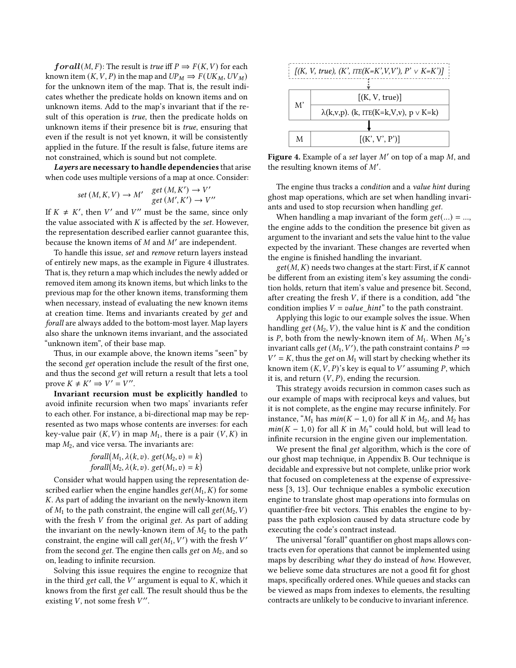**: The result is** *true* **iff**  $P \Rightarrow F(K, V)$  **for each** known item  $(K, V, P)$  in the map and  $UP_M \Rightarrow F(UK_M, UV_M)$ for the unknown item of the map. That is, the result indicates whether the predicate holds on known items and on unknown items. Add to the map's invariant that if the result of this operation is *true*, then the predicate holds on unknown items if their presence bit is true, ensuring that even if the result is not yet known, it will be consistently applied in the future. If the result is false, future items are not constrained, which is sound but not complete.

Layers are necessary to handle dependencies that arise when code uses multiple versions of a map at once. Consider:

$$
set(M, K, V) \to M' \quad \begin{array}{l} get(M, K') \to V' \\ get(M', K') \to V'' \end{array}
$$

If  $K \neq K'$ , then V' and V'' must be the same, since only the value associated with  $K$  is affected by the set. However, the representation described earlier cannot guarantee this, because the known items of  $M$  and  $M'$  are independent.

To handle this issue, set and remove return layers instead of entirely new maps, as the example in Figure [4](#page-6-0) illustrates. That is, they return a map which includes the newly added or removed item among its known items, but which links to the previous map for the other known items, transforming them when necessary, instead of evaluating the new known items at creation time. Items and invariants created by get and forall are always added to the bottom-most layer. Map layers also share the unknown items invariant, and the associated "unknown item", of their base map.

Thus, in our example above, the known items "seen" by the second get operation include the result of the first one, and thus the second get will return a result that lets a tool prove  $K \neq K' \Rightarrow V' = V''$ .

Invariant recursion must be explicitly handled to avoid infinite recursion when two maps' invariants refer to each other. For instance, a bi-directional map may be represented as two maps whose contents are inverses: for each key-value pair  $(K, V)$  in map  $M_1$ , there is a pair  $(V, K)$  in map  $M_2$ , and vice versa. The invariants are:

$$
for all (M_1, \lambda(k, v). get (M_2, v) = k)
$$
  

$$
for all (M_2, \lambda(k, v). get (M_1, v) = k)
$$

Consider what would happen using the representation described earlier when the engine handles  $get(M_1, K)$  for some . As part of adding the invariant on the newly-known item of  $M_1$  to the path constraint, the engine will call  $get(M_2, V)$ with the fresh  $V$  from the original get. As part of adding the invariant on the newly-known item of  $M_2$  to the path constraint, the engine will call  $get(M_1, V')$  with the fresh  $V'$ from the second get. The engine then calls get on  $M_2$ , and so on, leading to infinite recursion.

Solving this issue requires the engine to recognize that in the third get call, the  $V'$  argument is equal to  $\overline{K}$ , which it knows from the first get call. The result should thus be the existing  $V$ , not some fresh  $V''$ .

<span id="page-6-0"></span>

Figure 4. Example of a set layer  $M'$  on top of a map  $M$ , and the resulting known items of  $M'$ .

The engine thus tracks a *condition* and a *value hint* during ghost map operations, which are set when handling invariants and used to stop recursion when handling get.

When handling a map invariant of the form  $get(...) = ...$ , the engine adds to the condition the presence bit given as argument to the invariant and sets the value hint to the value expected by the invariant. These changes are reverted when the engine is finished handling the invariant.

 $get(M, K)$  needs two changes at the start: First, if K cannot be different from an existing item's key assuming the condition holds, return that item's value and presence bit. Second, after creating the fresh  $V$ , if there is a condition, add "the condition implies  $V = value\_hint$  to the path constraint.

Applying this logic to our example solves the issue. When handling get  $(M_2, V)$ , the value hint is K and the condition is P, both from the newly-known item of  $M_1$ . When  $M_2$ 's invariant calls *get*  $(M_1, V')$ , the path constraint contains  $P \Rightarrow$  $V' = K$ , thus the get on  $M_1$  will start by checking whether its known item  $(K, V, P)$ 's key is equal to V' assuming P, which it is, and return  $(V, P)$ , ending the recursion.

This strategy avoids recursion in common cases such as our example of maps with reciprocal keys and values, but it is not complete, as the engine may recurse infinitely. For instance, " $M_1$  has  $min(K - 1, 0)$  for all K in  $M_2$ , and  $M_2$  has  $min(K - 1, 0)$  for all K in  $M_1$ " could hold, but will lead to infinite recursion in the engine given our implementation.

We present the final get algorithm, which is the core of our ghost map technique, in Appendix [B.](#page-15-0) Our technique is decidable and expressive but not complete, unlike prior work that focused on completeness at the expense of expressiveness [\[3,](#page-13-10) [13\]](#page-13-11). Our technique enables a symbolic execution engine to translate ghost map operations into formulas on quantifier-free bit vectors. This enables the engine to bypass the path explosion caused by data structure code by executing the code's contract instead.

The universal "forall" quantifier on ghost maps allows contracts even for operations that cannot be implemented using maps by describing what they do instead of how. However, we believe some data structures are not a good fit for ghost maps, specifically ordered ones. While queues and stacks can be viewed as maps from indexes to elements, the resulting contracts are unlikely to be conducive to invariant inference.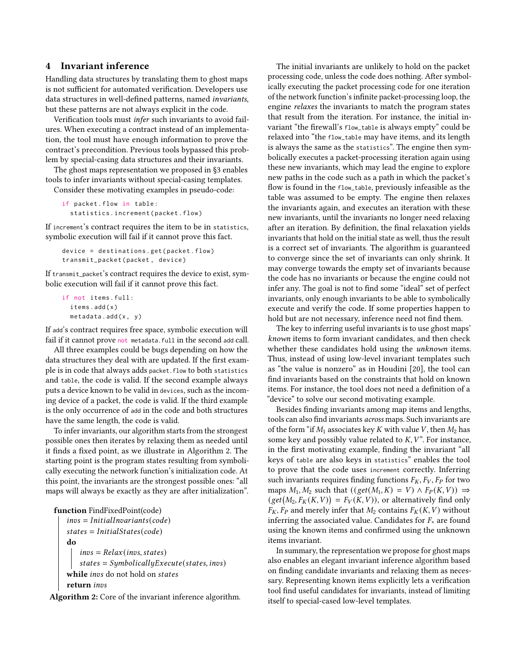# <span id="page-7-0"></span>4 Invariant inference

Handling data structures by translating them to ghost maps is not sufficient for automated verification. Developers use data structures in well-defined patterns, named invariants, but these patterns are not always explicit in the code.

Verification tools must infer such invariants to avoid failures. When executing a contract instead of an implementation, the tool must have enough information to prove the contract's precondition. Previous tools bypassed this problem by special-casing data structures and their invariants.

The ghost maps representation we proposed in [§3](#page-4-0) enables tools to infer invariants without special-casing templates.

Consider these motivating examples in pseudo-code:

```
if packet . flow in table :
  statistics . increment ( packet . flow )
```
If increment's contract requires the item to be in statistics, symbolic execution will fail if it cannot prove this fact.

```
device = destinations . get ( packet . flow )
transmit_packet ( packet , device )
```
If transmit\_packet's contract requires the device to exist, symbolic execution will fail if it cannot prove this fact.

```
if not items . full :
  items.add(x)
  metadata.add(x, y)
```
If add's contract requires free space, symbolic execution will fail if it cannot prove not metadata.full in the second add call.

All three examples could be bugs depending on how the data structures they deal with are updated. If the first example is in code that always adds packet.flow to both statistics and table, the code is valid. If the second example always puts a device known to be valid in devices, such as the incoming device of a packet, the code is valid. If the third example is the only occurrence of add in the code and both structures have the same length, the code is valid.

To infer invariants, our algorithm starts from the strongest possible ones then iterates by relaxing them as needed until it finds a fixed point, as we illustrate in Algorithm [2.](#page-7-1) The starting point is the program states resulting from symbolically executing the network function's initialization code. At this point, the invariants are the strongest possible ones: "all maps will always be exactly as they are after initialization".

```
function FindFixedPoint(code)
   invs = InitialInvariants(code)states = InitialStates(code)do
       invs = Relax(invs, states)states = SymbolicallyExecute(state, invs)
```
while invs do not hold on states

return invs

<span id="page-7-1"></span>Algorithm 2: Core of the invariant inference algorithm.

The initial invariants are unlikely to hold on the packet processing code, unless the code does nothing. After symbolically executing the packet processing code for one iteration of the network function's infinite packet-processing loop, the engine relaxes the invariants to match the program states that result from the iteration. For instance, the initial invariant "the firewall's flow\_table is always empty" could be relaxed into "the flow\_table may have items, and its length is always the same as the statistics". The engine then symbolically executes a packet-processing iteration again using these new invariants, which may lead the engine to explore new paths in the code such as a path in which the packet's flow is found in the flow\_table, previously infeasible as the table was assumed to be empty. The engine then relaxes the invariants again, and executes an iteration with these new invariants, until the invariants no longer need relaxing after an iteration. By definition, the final relaxation yields invariants that hold on the initial state as well, thus the result is a correct set of invariants. The algorithm is guaranteed to converge since the set of invariants can only shrink. It may converge towards the empty set of invariants because the code has no invariants or because the engine could not infer any. The goal is not to find some "ideal" set of perfect invariants, only enough invariants to be able to symbolically execute and verify the code. If some properties happen to hold but are not necessary, inference need not find them.

The key to inferring useful invariants is to use ghost maps' known items to form invariant candidates, and then check whether these candidates hold using the *unknown* items. Thus, instead of using low-level invariant templates such as "the value is nonzero" as in Houdini [\[20\]](#page-13-12), the tool can find invariants based on the constraints that hold on known items. For instance, the tool does not need a definition of a "device" to solve our second motivating example.

Besides finding invariants among map items and lengths, tools can also find invariants across maps. Such invariants are of the form "if  $M_1$  associates key K with value V, then  $M_2$  has some key and possibly value related to  $K, V$ ". For instance, in the first motivating example, finding the invariant "all keys of table are also keys in statistics" enables the tool to prove that the code uses increment correctly. Inferring such invariants requires finding functions  $F_K$ ,  $F_V$ ,  $F_P$  for two maps  $M_1, M_2$  such that  $((get(M_1, K) = V) \wedge F_P(K, V)) \Rightarrow$  $\left(\text{get}\left(M_2, F_K(K, V)\right) = F_V(K, V)\right)$ , or alternatively find only  $F_K$ ,  $F_P$  and merely infer that  $M_2$  contains  $F_K(K, V)$  without inferring the associated value. Candidates for  $F_*$  are found using the known items and confirmed using the unknown items invariant.

In summary, the representation we propose for ghost maps also enables an elegant invariant inference algorithm based on finding candidate invariants and relaxing them as necessary. Representing known items explicitly lets a verification tool find useful candidates for invariants, instead of limiting itself to special-cased low-level templates.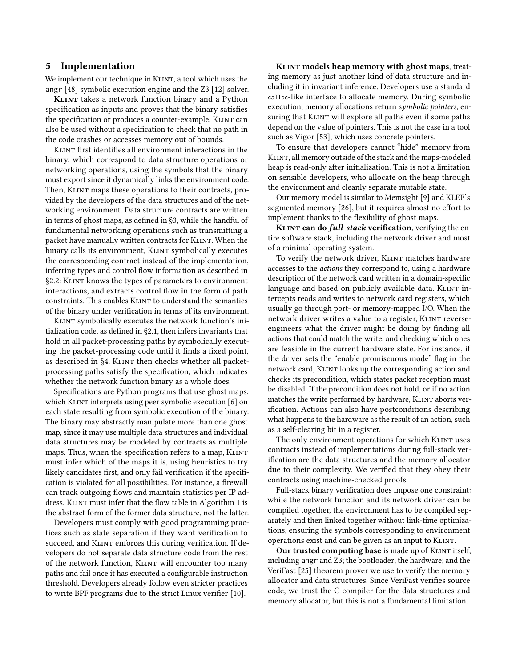### 5 Implementation

We implement our technique in KLINT, a tool which uses the angr [\[48\]](#page-14-5) symbolic execution engine and the Z3 [\[12\]](#page-13-13) solver.

KLINT takes a network function binary and a Python specification as inputs and proves that the binary satisfies the specification or produces a counter-example. KLINT can also be used without a specification to check that no path in the code crashes or accesses memory out of bounds.

Klint first identifies all environment interactions in the binary, which correspond to data structure operations or networking operations, using the symbols that the binary must export since it dynamically links the environment code. Then, KLINT maps these operations to their contracts, provided by the developers of the data structures and of the networking environment. Data structure contracts are written in terms of ghost maps, as defined in [§3,](#page-4-0) while the handful of fundamental networking operations such as transmitting a packet have manually written contracts for KLINT. When the binary calls its environment, KLINT symbolically executes the corresponding contract instead of the implementation, inferring types and control flow information as described in [§2.2:](#page-2-1) Klint knows the types of parameters to environment interactions, and extracts control flow in the form of path constraints. This enables KLINT to understand the semantics of the binary under verification in terms of its environment.

Klint symbolically executes the network function's initialization code, as defined in [§2.1,](#page-2-0) then infers invariants that hold in all packet-processing paths by symbolically executing the packet-processing code until it finds a fixed point, as described in [§4.](#page-7-0) KLINT then checks whether all packetprocessing paths satisfy the specification, which indicates whether the network function binary as a whole does.

Specifications are Python programs that use ghost maps, which KLINT interprets using peer symbolic execution [\[6\]](#page-13-14) on each state resulting from symbolic execution of the binary. The binary may abstractly manipulate more than one ghost map, since it may use multiple data structures and individual data structures may be modeled by contracts as multiple maps. Thus, when the specification refers to a map, KLINT must infer which of the maps it is, using heuristics to try likely candidates first, and only fail verification if the specification is violated for all possibilities. For instance, a firewall can track outgoing flows and maintain statistics per IP ad-dress. KLINT must infer that the flow table in Algorithm [1](#page-0-0) is the abstract form of the former data structure, not the latter.

Developers must comply with good programming practices such as state separation if they want verification to succeed, and KLINT enforces this during verification. If developers do not separate data structure code from the rest of the network function, KLINT will encounter too many paths and fail once it has executed a configurable instruction threshold. Developers already follow even stricter practices to write BPF programs due to the strict Linux verifier [\[10\]](#page-13-15).

KLINT models heap memory with ghost maps, treating memory as just another kind of data structure and including it in invariant inference. Developers use a standard calloc-like interface to allocate memory. During symbolic execution, memory allocations return symbolic pointers, ensuring that KLINT will explore all paths even if some paths depend on the value of pointers. This is not the case in a tool such as Vigor [\[53\]](#page-14-0), which uses concrete pointers.

To ensure that developers cannot "hide" memory from Klint, all memory outside of the stack and the maps-modeled heap is read-only after initialization. This is not a limitation on sensible developers, who allocate on the heap through the environment and cleanly separate mutable state.

Our memory model is similar to Memsight [\[9\]](#page-13-16) and KLEE's segmented memory [\[26\]](#page-13-17), but it requires almost no effort to implement thanks to the flexibility of ghost maps.

KLINT can do full-stack verification, verifying the entire software stack, including the network driver and most of a minimal operating system.

To verify the network driver, KLINT matches hardware accesses to the actions they correspond to, using a hardware description of the network card written in a domain-specific language and based on publicly available data. KLINT intercepts reads and writes to network card registers, which usually go through port- or memory-mapped I/O. When the network driver writes a value to a register, KLINT reverseengineers what the driver might be doing by finding all actions that could match the write, and checking which ones are feasible in the current hardware state. For instance, if the driver sets the "enable promiscuous mode" flag in the network card, Klint looks up the corresponding action and checks its precondition, which states packet reception must be disabled. If the precondition does not hold, or if no action matches the write performed by hardware, KLINT aborts verification. Actions can also have postconditions describing what happens to the hardware as the result of an action, such as a self-clearing bit in a register.

The only environment operations for which KLINT uses contracts instead of implementations during full-stack verification are the data structures and the memory allocator due to their complexity. We verified that they obey their contracts using machine-checked proofs.

Full-stack binary verification does impose one constraint: while the network function and its network driver can be compiled together, the environment has to be compiled separately and then linked together without link-time optimizations, ensuring the symbols corresponding to environment operations exist and can be given as an input to KLINT.

Our trusted computing base is made up of KLINT itself, including angr and Z3; the bootloader; the hardware; and the VeriFast [\[25\]](#page-13-18) theorem prover we use to verify the memory allocator and data structures. Since VeriFast verifies source code, we trust the C compiler for the data structures and memory allocator, but this is not a fundamental limitation.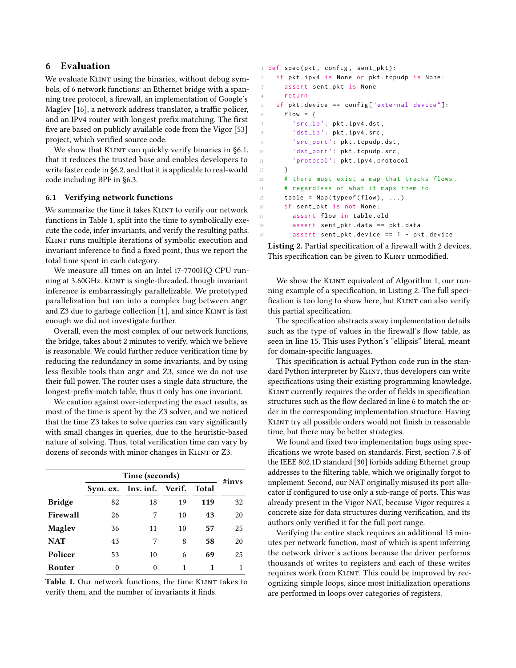# 6 Evaluation

We evaluate KLINT using the binaries, without debug symbols, of 6 network functions: an Ethernet bridge with a spanning tree protocol, a firewall, an implementation of Google's Maglev [\[16\]](#page-13-19), a network address translator, a traffic policer, and an IPv4 router with longest prefix matching. The first five are based on publicly available code from the Vigor [\[53\]](#page-14-0) project, which verified source code.

We show that KLINT can quickly verify binaries in [§6.1,](#page-9-0) that it reduces the trusted base and enables developers to write faster code in [§6.2,](#page-10-0) and that it is applicable to real-world code including BPF in [§6.3.](#page-11-0)

### <span id="page-9-0"></span>6.1 Verifying network functions

We summarize the time it takes KLINT to verify our network functions in Table [1,](#page-9-1) split into the time to symbolically execute the code, infer invariants, and verify the resulting paths. Klint runs multiple iterations of symbolic execution and invariant inference to find a fixed point, thus we report the total time spent in each category.

We measure all times on an Intel i7-7700HQ CPU running at 3.60GHz. KLINT is single-threaded, though invariant inference is embarrassingly parallelizable. We prototyped parallelization but ran into a complex bug between angr and Z3 due to garbage collection [\[1\]](#page-13-20), and since KLINT is fast enough we did not investigate further.

Overall, even the most complex of our network functions, the bridge, takes about 2 minutes to verify, which we believe is reasonable. We could further reduce verification time by reducing the redundancy in some invariants, and by using less flexible tools than angr and Z3, since we do not use their full power. The router uses a single data structure, the longest-prefix-match table, thus it only has one invariant.

We caution against over-interpreting the exact results, as most of the time is spent by the Z3 solver, and we noticed that the time Z3 takes to solve queries can vary significantly with small changes in queries, due to the heuristic-based nature of solving. Thus, total verification time can vary by dozens of seconds with minor changes in KLINT or Z3.

<span id="page-9-1"></span>

|               | Time (seconds) |                           |    |       | $\#invs$ |
|---------------|----------------|---------------------------|----|-------|----------|
|               |                | Sym. ex. Inv. inf. Verif. |    | Total |          |
| <b>Bridge</b> | 82             | 18                        | 19 | 119   | 32       |
| Firewall      | 26             | 7                         | 10 | 43    | 20       |
| Maglev        | 36             | 11                        | 10 | 57    | 25       |
| <b>NAT</b>    | 43             | 7                         | 8  | 58    | 20       |
| Policer       | 53             | 10                        | 6  | 69    | 25       |
| Router        | $\theta$       | $\Omega$                  | 1  | 1     |          |

Table 1. Our network functions, the time KLINT takes to verify them, and the number of invariants it finds.

```
1 def spec (pkt, config, sent_pkt):
   if pkt. ipv4 is None or pkt. tcpudp is None:
     assert sent_pkt is None
4 return
5 if pkt . device == config [" external device "]:
6 flow = {
7 'src_ip': pkt.ipv4.dst,
8 dst_ip': pkt.jpg. src,
9 'src_port': pkt.tcpudp.dst,
10 dst\_port': pkt.tcpudp.src,
11 'protocol ': pkt . ipv4 . protocol
12 }
13 # there must exist a map that tracks flows ,
14 # regardless of what it maps them to
15 table = Map(typeof(flow), \ldots)16 if sent_pkt is not None:
17 assert flow in table.old
18 assert sent_pkt . data == pkt . data
19 assert sent_pkt . device == 1 - pkt . device
```
<span id="page-9-3"></span>Listing 2. Partial specification of a firewall with 2 devices. This specification can be given to KLINT unmodified.

We show the KLINT equivalent of Algorithm [1,](#page-0-0) our running example of a specification, in Listing [2.](#page-9-2) The full specification is too long to show here, but KLINT can also verify this partial specification.

The specification abstracts away implementation details such as the type of values in the firewall's flow table, as seen in line [15.](#page-9-3) This uses Python's "ellipsis" literal, meant for domain-specific languages.

This specification is actual Python code run in the standard Python interpreter by KLINT, thus developers can write specifications using their existing programming knowledge. Klint currently requires the order of fields in specification structures such as the flow declared in line [6](#page-9-4) to match the order in the corresponding implementation structure. Having Klint try all possible orders would not finish in reasonable time, but there may be better strategies.

We found and fixed two implementation bugs using specifications we wrote based on standards. First, section 7.8 of the IEEE 802.1D standard [\[30\]](#page-13-8) forbids adding Ethernet group addresses to the filtering table, which we originally forgot to implement. Second, our NAT originally misused its port allocator if configured to use only a sub-range of ports. This was already present in the Vigor NAT, because Vigor requires a concrete size for data structures during verification, and its authors only verified it for the full port range.

Verifying the entire stack requires an additional 15 minutes per network function, most of which is spent inferring the network driver's actions because the driver performs thousands of writes to registers and each of these writes requires work from KLINT. This could be improved by recognizing simple loops, since most initialization operations are performed in loops over categories of registers.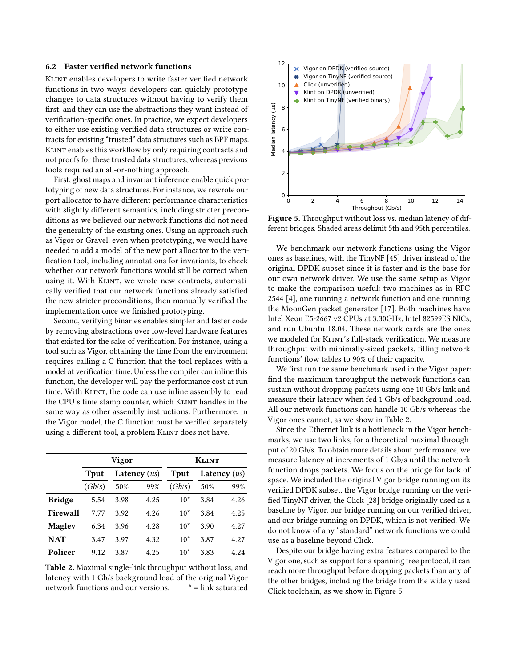#### <span id="page-10-0"></span>6.2 Faster verified network functions

KLINT enables developers to write faster verified network functions in two ways: developers can quickly prototype changes to data structures without having to verify them first, and they can use the abstractions they want instead of verification-specific ones. In practice, we expect developers to either use existing verified data structures or write contracts for existing "trusted" data structures such as BPF maps. Klint enables this workflow by only requiring contracts and not proofs for these trusted data structures, whereas previous tools required an all-or-nothing approach.

First, ghost maps and invariant inference enable quick prototyping of new data structures. For instance, we rewrote our port allocator to have different performance characteristics with slightly different semantics, including stricter preconditions as we believed our network functions did not need the generality of the existing ones. Using an approach such as Vigor or Gravel, even when prototyping, we would have needed to add a model of the new port allocator to the verification tool, including annotations for invariants, to check whether our network functions would still be correct when using it. With KLINT, we wrote new contracts, automatically verified that our network functions already satisfied the new stricter preconditions, then manually verified the implementation once we finished prototyping.

Second, verifying binaries enables simpler and faster code by removing abstractions over low-level hardware features that existed for the sake of verification. For instance, using a tool such as Vigor, obtaining the time from the environment requires calling a C function that the tool replaces with a model at verification time. Unless the compiler can inline this function, the developer will pay the performance cost at run time. With KLINT, the code can use inline assembly to read the CPU's time stamp counter, which KLINT handles in the same way as other assembly instructions. Furthermore, in the Vigor model, the C function must be verified separately using a different tool, a problem KLINT does not have.

<span id="page-10-1"></span>

|               | Vigor  |                |      | <b>KLINT</b> |                |      |
|---------------|--------|----------------|------|--------------|----------------|------|
|               | Tput   | Latency $(us)$ |      | <b>T</b> put | Latency $(us)$ |      |
|               | (Gb/s) | 50%            | 99%  | (Gb/s)       | 50%            | 99%  |
| <b>Bridge</b> | 5.54   | 3.98           | 4.25 | $10*$        | 3.84           | 4.26 |
| Firewall      | 7.77   | 3.92           | 4.26 | $10*$        | 3.84           | 4.25 |
| Maglev        | 6.34   | 3.96           | 4.28 | $10*$        | 3.90           | 4.27 |
| <b>NAT</b>    | 3.47   | 3.97           | 4.32 | $10*$        | 3.87           | 4.27 |
| Policer       | 9.12   | 3.87           | 4.25 | $10*$        | 3.83           | 4.24 |

Table 2. Maximal single-link throughput without loss, and latency with 1 Gb/s background load of the original Vigor network functions and our versions. \* = link saturated

<span id="page-10-2"></span>

Figure 5. Throughput without loss vs. median latency of different bridges. Shaded areas delimit 5th and 95th percentiles.

We benchmark our network functions using the Vigor ones as baselines, with the TinyNF [\[45\]](#page-13-21) driver instead of the original DPDK subset since it is faster and is the base for our own network driver. We use the same setup as Vigor to make the comparison useful: two machines as in RFC 2544 [\[4\]](#page-13-22), one running a network function and one running the MoonGen packet generator [\[17\]](#page-13-23). Both machines have Intel Xeon E5-2667 v2 CPUs at 3.30GHz, Intel 82599ES NICs, and run Ubuntu 18.04. These network cards are the ones we modeled for KLINT's full-stack verification. We measure throughput with minimally-sized packets, filling network functions' flow tables to 90% of their capacity.

We first run the same benchmark used in the Vigor paper: find the maximum throughput the network functions can sustain without dropping packets using one 10 Gb/s link and measure their latency when fed 1 Gb/s of background load. All our network functions can handle 10 Gb/s whereas the Vigor ones cannot, as we show in Table [2.](#page-10-1)

Since the Ethernet link is a bottleneck in the Vigor benchmarks, we use two links, for a theoretical maximal throughput of 20 Gb/s. To obtain more details about performance, we measure latency at increments of 1 Gb/s until the network function drops packets. We focus on the bridge for lack of space. We included the original Vigor bridge running on its verified DPDK subset, the Vigor bridge running on the verified TinyNF driver, the Click [\[28\]](#page-13-24) bridge originally used as a baseline by Vigor, our bridge running on our verified driver, and our bridge running on DPDK, which is not verified. We do not know of any "standard" network functions we could use as a baseline beyond Click.

Despite our bridge having extra features compared to the Vigor one, such as support for a spanning tree protocol, it can reach more throughput before dropping packets than any of the other bridges, including the bridge from the widely used Click toolchain, as we show in Figure [5.](#page-10-2)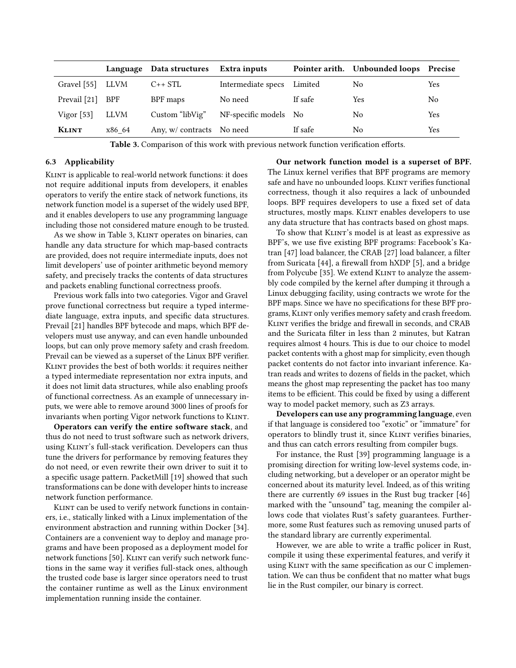<span id="page-11-1"></span>

|               |             | Language Data structures  | Extra inputs          |         | Pointer arith. Unbounded loops Precise |     |
|---------------|-------------|---------------------------|-----------------------|---------|----------------------------------------|-----|
| Gravel $[55]$ | LLVM        | $C++STL$                  | Intermediate specs    | Limited | No                                     | Yes |
| Prevail [21]  | <b>BPF</b>  | BPF maps                  | No need               | If safe | Yes                                    | No  |
| Vigor $[53]$  | <b>LLVM</b> | Custom "libVig"           | NF-specific models No |         | No                                     | Yes |
| <b>KLINT</b>  | x86 64      | Any, w/ contracts No need |                       | If safe | N <sub>0</sub>                         | Yes |

Table 3. Comparison of this work with previous network function verification efforts.

### <span id="page-11-0"></span>6.3 Applicability

KLINT is applicable to real-world network functions: it does not require additional inputs from developers, it enables operators to verify the entire stack of network functions, its network function model is a superset of the widely used BPF, and it enables developers to use any programming language including those not considered mature enough to be trusted.

As we show in Table [3,](#page-11-1) KLINT operates on binaries, can handle any data structure for which map-based contracts are provided, does not require intermediate inputs, does not limit developers' use of pointer arithmetic beyond memory safety, and precisely tracks the contents of data structures and packets enabling functional correctness proofs.

Previous work falls into two categories. Vigor and Gravel prove functional correctness but require a typed intermediate language, extra inputs, and specific data structures. Prevail [\[21\]](#page-13-25) handles BPF bytecode and maps, which BPF developers must use anyway, and can even handle unbounded loops, but can only prove memory safety and crash freedom. Prevail can be viewed as a superset of the Linux BPF verifier. Klint provides the best of both worlds: it requires neither a typed intermediate representation nor extra inputs, and it does not limit data structures, while also enabling proofs of functional correctness. As an example of unnecessary inputs, we were able to remove around 3000 lines of proofs for invariants when porting Vigor network functions to Klint.

Operators can verify the entire software stack, and thus do not need to trust software such as network drivers, using KLINT's full-stack verification. Developers can thus tune the drivers for performance by removing features they do not need, or even rewrite their own driver to suit it to a specific usage pattern. PacketMill [\[19\]](#page-13-26) showed that such transformations can be done with developer hints to increase network function performance.

KLINT can be used to verify network functions in containers, i.e., statically linked with a Linux implementation of the environment abstraction and running within Docker [\[34\]](#page-13-27). Containers are a convenient way to deploy and manage programs and have been proposed as a deployment model for network functions [\[50\]](#page-14-6). KLINT can verify such network functions in the same way it verifies full-stack ones, although the trusted code base is larger since operators need to trust the container runtime as well as the Linux environment implementation running inside the container.

Our network function model is a superset of BPF. The Linux kernel verifies that BPF programs are memory safe and have no unbounded loops. KLINT verifies functional correctness, though it also requires a lack of unbounded loops. BPF requires developers to use a fixed set of data structures, mostly maps. KLINT enables developers to use any data structure that has contracts based on ghost maps.

To show that KLINT's model is at least as expressive as BPF's, we use five existing BPF programs: Facebook's Katran [\[47\]](#page-14-2) load balancer, the CRAB [\[27\]](#page-13-28) load balancer, a filter from Suricata [\[44\]](#page-13-29), a firewall from hXDP [\[5\]](#page-13-30), and a bridge from Polycube [\[35\]](#page-13-31). We extend KLINT to analyze the assembly code compiled by the kernel after dumping it through a Linux debugging facility, using contracts we wrote for the BPF maps. Since we have no specifications for these BPF programs, Klint only verifies memory safety and crash freedom. Klint verifies the bridge and firewall in seconds, and CRAB and the Suricata filter in less than 2 minutes, but Katran requires almost 4 hours. This is due to our choice to model packet contents with a ghost map for simplicity, even though packet contents do not factor into invariant inference. Katran reads and writes to dozens of fields in the packet, which means the ghost map representing the packet has too many items to be efficient. This could be fixed by using a different way to model packet memory, such as Z3 arrays.

Developers can use any programming language, even if that language is considered too "exotic" or "immature" for operators to blindly trust it, since KLINT verifies binaries, and thus can catch errors resulting from compiler bugs.

For instance, the Rust [\[39\]](#page-13-32) programming language is a promising direction for writing low-level systems code, including networking, but a developer or an operator might be concerned about its maturity level. Indeed, as of this writing there are currently 69 issues in the Rust bug tracker [\[46\]](#page-14-7) marked with the "unsound" tag, meaning the compiler allows code that violates Rust's safety guarantees. Furthermore, some Rust features such as removing unused parts of the standard library are currently experimental.

However, we are able to write a traffic policer in Rust, compile it using these experimental features, and verify it using KLINT with the same specification as our C implementation. We can thus be confident that no matter what bugs lie in the Rust compiler, our binary is correct.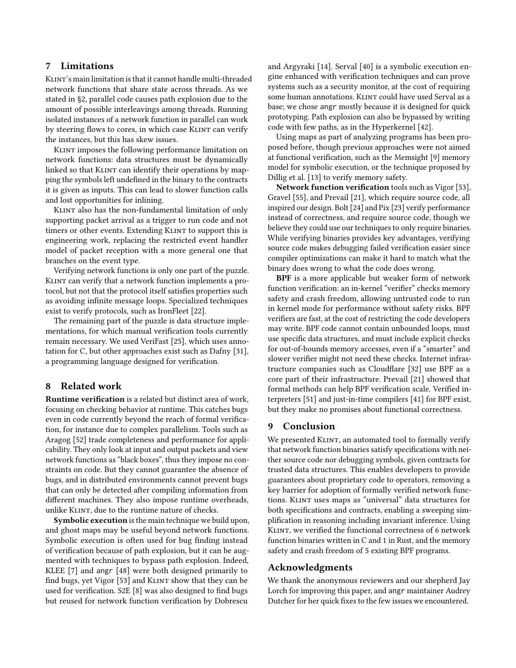# 7 Limitations

Klint's main limitation is that it cannot handle multi-threaded network functions that share state across threads. As we stated in [§2,](#page-2-3) parallel code causes path explosion due to the amount of possible interleavings among threads. Running isolated instances of a network function in parallel can work by steering flows to cores, in which case KLINT can verify the instances, but this has skew issues.

Klint imposes the following performance limitation on network functions: data structures must be dynamically linked so that KLINT can identify their operations by mapping the symbols left undefined in the binary to the contracts it is given as inputs. This can lead to slower function calls and lost opportunities for inlining.

Klint also has the non-fundamental limitation of only supporting packet arrival as a trigger to run code and not timers or other events. Extending KLINT to support this is engineering work, replacing the restricted event handler model of packet reception with a more general one that branches on the event type.

Verifying network functions is only one part of the puzzle. KLINT can verify that a network function implements a protocol, but not that the protocol itself satisfies properties such as avoiding infinite message loops. Specialized techniques exist to verify protocols, such as IronFleet [\[22\]](#page-13-33).

The remaining part of the puzzle is data structure implementations, for which manual verification tools currently remain necessary. We used VeriFast [\[25\]](#page-13-18), which uses annotation for C, but other approaches exist such as Dafny [\[31\]](#page-13-34), a programming language designed for verification.

# 8 Related work

Runtime verification is a related but distinct area of work, focusing on checking behavior at runtime. This catches bugs even in code currently beyond the reach of formal verification, for instance due to complex parallelism. Tools such as Aragog [\[52\]](#page-14-8) trade completeness and performance for applicability. They only look at input and output packets and view network functions as "black boxes", thus they impose no constraints on code. But they cannot guarantee the absence of bugs, and in distributed environments cannot prevent bugs that can only be detected after compiling information from different machines. They also impose runtime overheads, unlike KLINT, due to the runtime nature of checks.

Symbolic execution is the main technique we build upon, and ghost maps may be useful beyond network functions. Symbolic execution is often used for bug finding instead of verification because of path explosion, but it can be augmented with techniques to bypass path explosion. Indeed, KLEE [\[7\]](#page-13-35) and angr [\[48\]](#page-14-5) were both designed primarily to find bugs, yet Vigor [\[53\]](#page-14-0) and KLINT show that they can be used for verification. S2E [\[8\]](#page-13-36) was also designed to find bugs but reused for network function verification by Dobrescu

and Argyraki [\[14\]](#page-13-37). Serval [\[40\]](#page-13-38) is a symbolic execution engine enhanced with verification techniques and can prove systems such as a security monitor, at the cost of requiring some human annotations. KLINT could have used Serval as a base; we chose angr mostly because it is designed for quick prototyping. Path explosion can also be bypassed by writing code with few paths, as in the Hyperkernel [\[42\]](#page-13-39).

Using maps as part of analyzing programs has been proposed before, though previous approaches were not aimed at functional verification, such as the Memsight [\[9\]](#page-13-16) memory model for symbolic execution, or the technique proposed by Dillig et al. [\[13\]](#page-13-11) to verify memory safety.

Network function verification tools such as Vigor [\[53\]](#page-14-0), Gravel [\[55\]](#page-14-1), and Prevail [\[21\]](#page-13-25), which require source code, all inspired our design. Bolt [\[24\]](#page-13-40) and Pix [\[23\]](#page-13-41) verify performance instead of correctness, and require source code, though we believe they could use our techniques to only require binaries. While verifying binaries provides key advantages, verifying source code makes debugging failed verification easier since compiler optimizations can make it hard to match what the binary does wrong to what the code does wrong.

BPF is a more applicable but weaker form of network function verification: an in-kernel "verifier" checks memory safety and crash freedom, allowing untrusted code to run in kernel mode for performance without safety risks. BPF verifiers are fast, at the cost of restricting the code developers may write. BPF code cannot contain unbounded loops, must use specific data structures, and must include explicit checks for out-of-bounds memory accesses, even if a "smarter" and slower verifier might not need these checks. Internet infrastructure companies such as Cloudflare [\[32\]](#page-13-42) use BPF as a core part of their infrastructure. Prevail [\[21\]](#page-13-25) showed that formal methods can help BPF verification scale. Verified interpreters [\[51\]](#page-14-9) and just-in-time compilers [\[41\]](#page-13-43) for BPF exist, but they make no promises about functional correctness.

## 9 Conclusion

We presented KLINT, an automated tool to formally verify that network function binaries satisfy specifications with neither source code nor debugging symbols, given contracts for trusted data structures. This enables developers to provide guarantees about proprietary code to operators, removing a key barrier for adoption of formally verified network functions. Klint uses maps as "universal" data structures for both specifications and contracts, enabling a sweeping simplification in reasoning including invariant inference. Using KLINT, we verified the functional correctness of 6 network function binaries written in C and 1 in Rust, and the memory safety and crash freedom of 5 existing BPF programs.

### Acknowledgments

We thank the anonymous reviewers and our shepherd Jay Lorch for improving this paper, and angr maintainer Audrey Dutcher for her quick fixes to the few issues we encountered.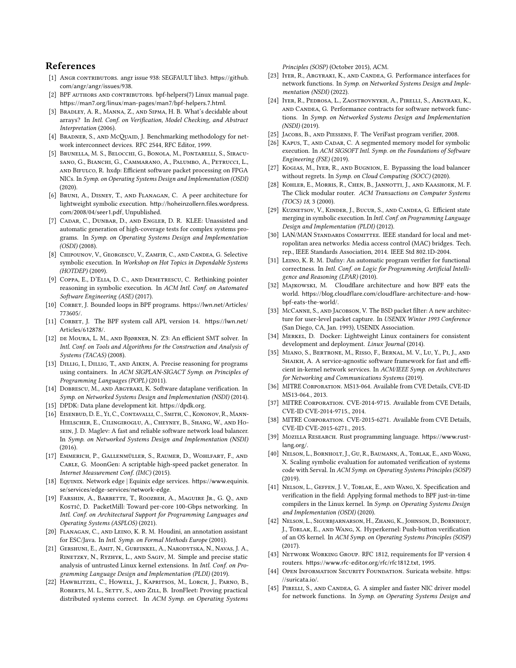# References

- <span id="page-13-20"></span>[1] ANGR CONTRIBUTORS. angr issue 938: SEGFAULT libz3. [https://github.](https://github.com/angr/angr/issues/938) [com/angr/angr/issues/938](https://github.com/angr/angr/issues/938).
- <span id="page-13-7"></span>[2] BPF AUTHORS AND CONTRIBUTORS. bpf-helpers(7) Linux manual page. <https://man7.org/linux/man-pages/man7/bpf-helpers.7.html>.
- <span id="page-13-10"></span>[3] Bradley, A. R., Manna, Z., and Sipma, H. B. What's decidable about arrays? In Intl. Conf. on Verification, Model Checking, and Abstract Interpretation (2006).
- <span id="page-13-22"></span>[4] BRADNER, S., AND McQUAID, J. Benchmarking methodology for network interconnect devices. RFC 2544, RFC Editor, 1999.
- <span id="page-13-30"></span>[5] Brunella, M. S., Belocchi, G., Bonola, M., Pontarelli, S., Siracusano, G., Bianchi, G., Cammarano, A., Palumbo, A., Petrucci, L., and Bifulco, R. hxdp: Efficient software packet processing on FPGA NICs. In Symp. on Operating Systems Design and Implementation (OSDI) (2020).
- <span id="page-13-14"></span>[6] Bruni, A., Disney, T., and Flanagan, C. A peer architecture for lightweight symbolic execution. [http://hoheinzollern.files.wordpress.](http://hoheinzollern.files.wordpress.com/2008/04/seer1.pdf) [com/2008/04/seer1.pdf](http://hoheinzollern.files.wordpress.com/2008/04/seer1.pdf), Unpublished.
- <span id="page-13-35"></span>[7] CADAR, C., DUNBAR, D., AND ENGLER, D. R. KLEE: Unassisted and automatic generation of high-coverage tests for complex systems programs. In Symp. on Operating Systems Design and Implementation (OSDI) (2008).
- <span id="page-13-36"></span>[8] Chipounov, V., Georgescu, V., Zamfir, C., and Candea, G. Selective symbolic execution. In Workshop on Hot Topics in Dependable Systems (HOTDEP) (2009).
- <span id="page-13-16"></span>[9] COPPA, E., D'ELIA, D. C., AND DEMETRESCU, C. Rethinking pointer reasoning in symbolic execution. In ACM Intl. Conf. on Automated Software Engineering (ASE) (2017).
- <span id="page-13-15"></span>[10] CORBET, J. Bounded loops in BPF programs. [https://lwn.net/Articles/](https://lwn.net/Articles/773605/) [773605/](https://lwn.net/Articles/773605/).
- <span id="page-13-1"></span>[11] CORBET, J. The BPF system call API, version 14. [https://lwn.net/](https://lwn.net/Articles/612878/) [Articles/612878/](https://lwn.net/Articles/612878/).
- <span id="page-13-13"></span>[12] de Moura, L. M., and Bjørner, N. Z3: An efficient SMT solver. In Intl. Conf. on Tools and Algorithms for the Construction and Analysis of Systems (TACAS) (2008).
- <span id="page-13-11"></span>[13] DILLIG, I., DILLIG, T., AND AIKEN, A. Precise reasoning for programs using containers. In ACM SIGPLAN-SIGACT Symp. on Principles of Programming Languages (POPL) (2011).
- <span id="page-13-37"></span>[14] Dobrescu, M., and Argyraki, K. Software dataplane verification. In Symp. on Networked Systems Design and Implementation (NSDI) (2014).
- <span id="page-13-0"></span>[15] DPDK: Data plane development kit. https://dpdk.org.
- <span id="page-13-19"></span>[16] Eisenbud, D. E., Yi, C., Contavalli, C., Smith, C., Kononov, R., Mann-Hielscher, E., Cilingiroglu, A., Cheyney, B., Shang, W., and Hosein, J. D. Maglev: A fast and reliable software network load balancer. In Symp. on Networked Systems Design and Implementation (NSDI) (2016).
- <span id="page-13-23"></span>[17] Emmerich, P., Gallenmüller, S., Raumer, D., Wohlfart, F., and CARLE, G. MoonGen: A scriptable high-speed packet generator. In Internet Measurement Conf. (IMC) (2015).
- <span id="page-13-3"></span>[18] Equinix. Network edge | Equinix edge services. [https://www.equinix.](https://www.equinix.se/services/edge-services/network-edge) [se/services/edge-services/network-edge](https://www.equinix.se/services/edge-services/network-edge).
- <span id="page-13-26"></span>[19] Farshin, A., Barbette, T., Roozbeh, A., Maguire Jr., G. Q., and Kostić, D. PacketMill: Toward per-core 100-Gbps networking. In Intl. Conf. on Architectural Support for Programming Languages and Operating Systems (ASPLOS) (2021).
- <span id="page-13-12"></span>[20] Flanagan, C., and Leino, K. R. M. Houdini, an annotation assistant for ESC/Java. In Intl. Symp. on Formal Methods Europe (2001).
- <span id="page-13-25"></span>[21] Gershuni, E., Amit, N., Gurfinkel, A., Narodytska, N., Navas, J. A., Rinetzky, N., Ryzhyk, L., and Sagiv, M. Simple and precise static analysis of untrusted Linux kernel extensions. In Intl. Conf. on Programming Language Design and Implementation (PLDI) (2019).
- <span id="page-13-33"></span>[22] Hawblitzel, C., Howell, J., Kapritsos, M., Lorch, J., Parno, B., ROBERTS, M. L., SETTY, S., AND ZILL, B. IronFleet: Proving practical distributed systems correct. In ACM Symp. on Operating Systems

Principles (SOSP) (October 2015), ACM.

- <span id="page-13-41"></span>[23] IYER, R., ARGYRAKI, K., AND CANDEA, G. Performance interfaces for network functions. In Symp. on Networked Systems Design and Implementation (NSDI) (2022).
- <span id="page-13-40"></span>[24] Iyer, R., Pedrosa, L., Zaostrovnykh, A., Pirelli, S., Argyraki, K., and Candea, G. Performance contracts for software network functions. In Symp. on Networked Systems Design and Implementation (NSDI) (2019).
- <span id="page-13-18"></span>[25] JACOBS, B., AND PIESSENS, F. The VeriFast program verifier, 2008.
- <span id="page-13-17"></span>[26] KAPUS, T., AND CADAR, C. A segmented memory model for symbolic execution. In ACM SIGSOFT Intl. Symp. on the Foundations of Software Engineering (FSE) (2019).
- <span id="page-13-28"></span>[27] Kogias, M., Iyer, R., and Bugnion, E. Bypassing the load balancer without regrets. In Symp. on Cloud Computing (SOCC) (2020).
- <span id="page-13-24"></span>[28] Kohler, E., Morris, R., Chen, B., Jannotti, J., and Kaashoek, M. F. The Click modular router. ACM Transactions on Computer Systems (TOCS) 18, 3 (2000).
- <span id="page-13-9"></span>[29] KUZNETSOV, V., KINDER, J., BUCUR, S., AND CANDEA, G. Efficient state merging in symbolic execution. In Intl. Conf. on Programming Language Design and Implementation (PLDI) (2012).
- <span id="page-13-8"></span>[30] LAN/MAN STANDARDS COMMITTEE. IEEE standard for local and metropolitan area networks: Media access control (MAC) bridges. Tech. rep., IEEE Standards Association, 2014. IEEE Std 802.1D-2004.
- <span id="page-13-34"></span>[31] Leino, K. R. M. Dafny: An automatic program verifier for functional correctness. In Intl. Conf. on Logic for Programming Artificial Intelligence and Reasoning (LPAR) (2010).
- <span id="page-13-42"></span>[32] Majkowski, M. Cloudflare architecture and how BPF eats the world. [https://blog.cloudflare.com/cloudflare-architecture-and-how](https://blog.cloudflare.com/cloudflare-architecture-and-how-bpf-eats-the-world/)[bpf-eats-the-world/](https://blog.cloudflare.com/cloudflare-architecture-and-how-bpf-eats-the-world/).
- <span id="page-13-2"></span>[33] McCanne, S., AND JACOBSON, V. The BSD packet filter: A new architecture for user-level packet capture. In USENIX Winter 1993 Conference (San Diego, CA, Jan. 1993), USENIX Association.
- <span id="page-13-27"></span>[34] Merkel, D. Docker: Lightweight Linux containers for consistent development and deployment. Linux Journal (2014).
- <span id="page-13-31"></span>[35] Miano, S., Bertrone, M., Risso, F., Bernal, M. V., Lu, Y., Pi, J., and SHAIKH, A. A service-agnostic software framework for fast and efficient in-kernel network services. In ACM/IEEE Symp. on Architectures for Networking and Communications Systems (2019).
- <span id="page-13-4"></span>[36] MITRE Corporation. MS13-064. Available from CVE Details, CVE-ID MS13-064., 2013.
- <span id="page-13-5"></span>[37] MITRE CORPORATION. CVE-2014-9715. Available from CVE Details, CVE-ID CVE-2014-9715., 2014.
- <span id="page-13-6"></span>[38] MITRE CORPORATION. CVE-2015-6271. Available from CVE Details, CVE-ID CVE-2015-6271., 2015.
- <span id="page-13-32"></span>[39] Mozilla Research. Rust programming language. [https://www.rust](https://www.rust-lang.org/)[lang.org/](https://www.rust-lang.org/).
- <span id="page-13-38"></span>[40] NELSON, L., BORNHOLT, J., GU, R., BAUMANN, A., TORLAK, E., AND WANG, X. Scaling symbolic evaluation for automated verification of systems code with Serval. In ACM Symp. on Operating Systems Principles (SOSP) (2019).
- <span id="page-13-43"></span>[41] NELSON, L., GEFFEN, J. V., TORLAK, E., AND WANG, X. Specification and verification in the field: Applying formal methods to BPF just-in-time compilers in the Linux kernel. In Symp. on Operating Systems Design and Implementation (OSDI) (2020).
- <span id="page-13-39"></span>[42] Nelson, L., Sigurbjarnarson, H., Zhang, K., Johnson, D., Bornholt, J., Torlak, E., and Wang, X. Hyperkernel: Push-button verification of an OS kernel. In ACM Symp. on Operating Systems Principles (SOSP)  $(2017)$
- <span id="page-13-44"></span>[43] NETWORK WORKING GROUP. RFC 1812, requirements for IP version 4 routers. <https://www.rfc-editor.org/rfc/rfc1812.txt>, 1995.
- <span id="page-13-29"></span>[44] OPEN INFORMATION SECURITY FOUNDATION. Suricata website. [https:](https://suricata.io/) [//suricata.io/](https://suricata.io/).
- <span id="page-13-21"></span>[45] PIRELLI, S., AND CANDEA, G. A simpler and faster NIC driver model for network functions. In Symp. on Operating Systems Design and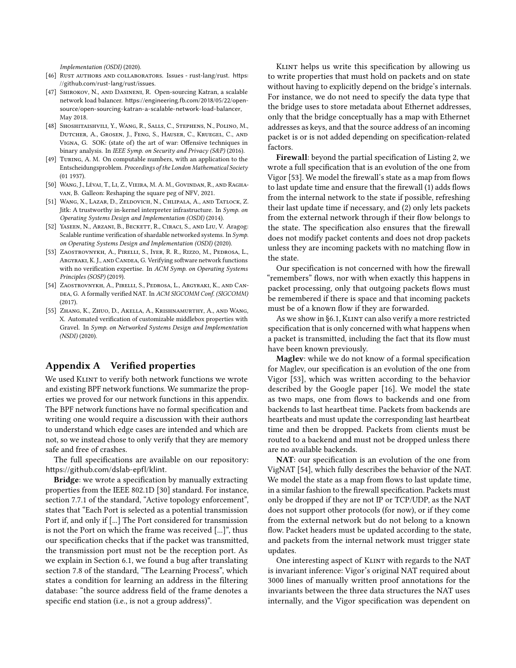Implementation (OSDI) (2020).

- <span id="page-14-7"></span>[46] RUST AUTHORS AND COLLABORATORS. Issues - rust-lang/rust. [https:](https://github.com/rust-lang/rust/issues) [//github.com/rust-lang/rust/issues](https://github.com/rust-lang/rust/issues).
- <span id="page-14-2"></span>[47] Shirokov, N., and Dasineni, R. Open-sourcing Katran, a scalable network load balancer. [https://engineering.fb.com/2018/05/22/open](https://engineering.fb.com/2018/05/22/open-source/open-sourcing-katran-a-scalable-network-load-balancer)[source/open-sourcing-katran-a-scalable-network-load-balancer](https://engineering.fb.com/2018/05/22/open-source/open-sourcing-katran-a-scalable-network-load-balancer), May 2018.
- <span id="page-14-5"></span>[48] SHOSHITAISHVILI, Y., WANG, R., SALLS, C., STEPHENS, N., POLINO, M., Dutcher, A., Grosen, J., Feng, S., Hauser, C., Kruegel, C., and Vigna, G. SOK: (state of) the art of war: Offensive techniques in binary analysis. In IEEE Symp. on Security and Privacy (S&P) (2016).
- <span id="page-14-4"></span>[49] Turing, A. M. On computable numbers, with an application to the Entscheidungsproblem. Proceedings of the London Mathematical Society (01 1937).
- <span id="page-14-6"></span>[50] Wang, J., Lévai, T., Li, Z., Vieira, M. A. M., Govindan, R., and Raghavan, B. Galleon: Reshaping the square peg of NFV, 2021.
- <span id="page-14-9"></span>[51] Wang, X., Lazar, D., Zeldovich, N., Chlipala, A., and Tatlock, Z. Jitk: A trustworthy in-kernel interpreter infrastructure. In Symp. on Operating Systems Design and Implementation (OSDI) (2014).
- <span id="page-14-8"></span>[52] Yaseen, N., Arzani, B., Beckett, R., Ciraci, S., and Liu, V. Aragog: Scalable runtime verification of shardable networked systems. In Symp. on Operating Systems Design and Implementation (OSDI) (2020).
- <span id="page-14-0"></span>[53] Zaostrovnykh, A., Pirelli, S., Iyer, R. R., Rizzo, M., Pedrosa, L., Argyraki, K. J., and Candea, G. Verifying software network functions with no verification expertise. In ACM Symp. on Operating Systems Principles (SOSP) (2019).
- <span id="page-14-10"></span>[54] Zaostrovnykh, A., Pirelli, S., Pedrosa, L., Argyraki, K., and Can-DEA, G. A formally verified NAT. In ACM SIGCOMM Conf. (SIGCOMM) (2017).
- <span id="page-14-1"></span>[55] Zhang, K., Zhuo, D., Akella, A., Krishnamurthy, A., and Wang, X. Automated verification of customizable middlebox properties with Gravel. In Symp. on Networked Systems Design and Implementation (NSDI) (2020).

## <span id="page-14-3"></span>Appendix A Verified properties

We used KLINT to verify both network functions we wrote and existing BPF network functions. We summarize the properties we proved for our network functions in this appendix. The BPF network functions have no formal specification and writing one would require a discussion with their authors to understand which edge cases are intended and which are not, so we instead chose to only verify that they are memory safe and free of crashes.

The full specifications are available on our repository: <https://github.com/dslab-epfl/klint>.

**Bridge**: we wrote a specification by manually extracting properties from the IEEE 802.1D [\[30\]](#page-13-8) standard. For instance, section 7.7.1 of the standard, "Active topology enforcement", states that "Each Port is selected as a potential transmission Port if, and only if [...] The Port considered for transmission is not the Port on which the frame was received [...]", thus our specification checks that if the packet was transmitted, the transmission port must not be the reception port. As we explain in Section [6.1,](#page-9-0) we found a bug after translating section 7.8 of the standard, "The Learning Process", which states a condition for learning an address in the filtering database: "the source address field of the frame denotes a specific end station (i.e., is not a group address)".

Klint helps us write this specification by allowing us to write properties that must hold on packets and on state without having to explicitly depend on the bridge's internals. For instance, we do not need to specify the data type that the bridge uses to store metadata about Ethernet addresses, only that the bridge conceptually has a map with Ethernet addresses as keys, and that the source address of an incoming packet is or is not added depending on specification-related factors.

Firewall: beyond the partial specification of Listing [2,](#page-9-2) we wrote a full specification that is an evolution of the one from Vigor [\[53\]](#page-14-0). We model the firewall's state as a map from flows to last update time and ensure that the firewall (1) adds flows from the internal network to the state if possible, refreshing their last update time if necessary, and (2) only lets packets from the external network through if their flow belongs to the state. The specification also ensures that the firewall does not modify packet contents and does not drop packets unless they are incoming packets with no matching flow in the state.

Our specification is not concerned with how the firewall "remembers" flows, nor with when exactly this happens in packet processing, only that outgoing packets flows must be remembered if there is space and that incoming packets must be of a known flow if they are forwarded.

As we show in [§6.1,](#page-9-0) KLINT can also verify a more restricted specification that is only concerned with what happens when a packet is transmitted, including the fact that its flow must have been known previously.

Maglev: while we do not know of a formal specification for Maglev, our specification is an evolution of the one from Vigor [\[53\]](#page-14-0), which was written according to the behavior described by the Google paper [\[16\]](#page-13-19). We model the state as two maps, one from flows to backends and one from backends to last heartbeat time. Packets from backends are heartbeats and must update the corresponding last heartbeat time and then be dropped. Packets from clients must be routed to a backend and must not be dropped unless there are no available backends.

NAT: our specification is an evolution of the one from VigNAT [\[54\]](#page-14-10), which fully describes the behavior of the NAT. We model the state as a map from flows to last update time, in a similar fashion to the firewall specification. Packets must only be dropped if they are not IP or TCP/UDP, as the NAT does not support other protocols (for now), or if they come from the external network but do not belong to a known flow. Packet headers must be updated according to the state, and packets from the internal network must trigger state updates.

One interesting aspect of KLINT with regards to the NAT is invariant inference: Vigor's original NAT required about 3000 lines of manually written proof annotations for the invariants between the three data structures the NAT uses internally, and the Vigor specification was dependent on